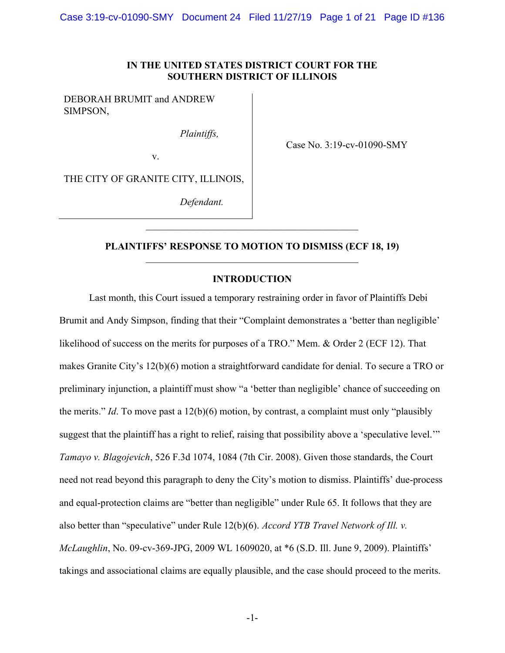### IN THE UNITED STATES DISTRICT COURT FOR THE SOUTHERN DISTRICT OF ILLINOIS

DEBORAH BRUMIT and ANDREW SIMPSON,

Plaintiffs,

Case No. 3:19-cv-01090-SMY

v.

THE CITY OF GRANITE CITY, ILLINOIS,

Defendant.

## PLAINTIFFS' RESPONSE TO MOTION TO DISMISS (ECF 18, 19)

#### INTRODUCTION

Last month, this Court issued a temporary restraining order in favor of Plaintiffs Debi Brumit and Andy Simpson, finding that their "Complaint demonstrates a 'better than negligible' likelihood of success on the merits for purposes of a TRO." Mem. & Order 2 (ECF 12). That makes Granite City's 12(b)(6) motion a straightforward candidate for denial. To secure a TRO or preliminary injunction, a plaintiff must show "a 'better than negligible' chance of succeeding on the merits." Id. To move past a  $12(b)(6)$  motion, by contrast, a complaint must only "plausibly suggest that the plaintiff has a right to relief, raising that possibility above a 'speculative level.'" Tamayo v. Blagojevich, 526 F.3d 1074, 1084 (7th Cir. 2008). Given those standards, the Court need not read beyond this paragraph to deny the City's motion to dismiss. Plaintiffs' due-process and equal-protection claims are "better than negligible" under Rule 65. It follows that they are also better than "speculative" under Rule 12(b)(6). Accord YTB Travel Network of Ill. v. McLaughlin, No. 09-cv-369-JPG, 2009 WL 1609020, at \*6 (S.D. Ill. June 9, 2009). Plaintiffs' takings and associational claims are equally plausible, and the case should proceed to the merits.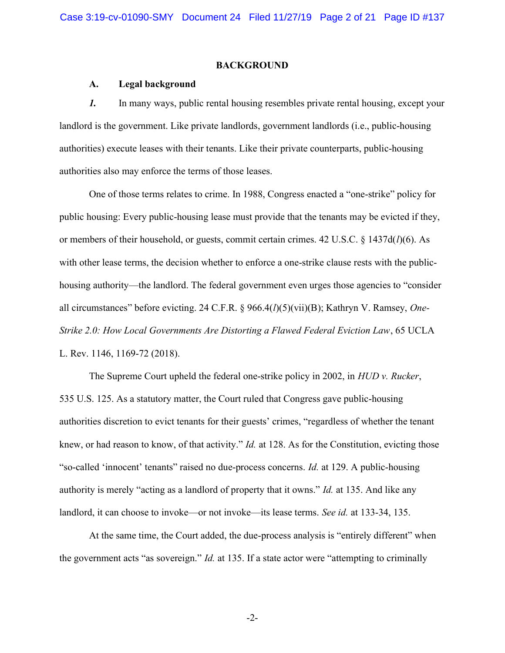### BACKGROUND

### A. Legal background

1. In many ways, public rental housing resembles private rental housing, except your landlord is the government. Like private landlords, government landlords (i.e., public-housing authorities) execute leases with their tenants. Like their private counterparts, public-housing authorities also may enforce the terms of those leases.

One of those terms relates to crime. In 1988, Congress enacted a "one-strike" policy for public housing: Every public-housing lease must provide that the tenants may be evicted if they, or members of their household, or guests, commit certain crimes.  $42 \text{ U.S.C.} \& 1437d(l)(6)$ . As with other lease terms, the decision whether to enforce a one-strike clause rests with the publichousing authority—the landlord. The federal government even urges those agencies to "consider all circumstances" before evicting. 24 C.F.R. § 966.4( $l$ )(5)(vii)(B); Kathryn V. Ramsey, One-Strike 2.0: How Local Governments Are Distorting a Flawed Federal Eviction Law, 65 UCLA L. Rev. 1146, 1169-72 (2018).

The Supreme Court upheld the federal one-strike policy in 2002, in HUD v. Rucker, 535 U.S. 125. As a statutory matter, the Court ruled that Congress gave public-housing authorities discretion to evict tenants for their guests' crimes, "regardless of whether the tenant knew, or had reason to know, of that activity." *Id.* at 128. As for the Constitution, evicting those "so-called 'innocent' tenants" raised no due-process concerns. Id. at 129. A public-housing authority is merely "acting as a landlord of property that it owns." Id. at 135. And like any landlord, it can choose to invoke—or not invoke—its lease terms. See id. at 133-34, 135.

At the same time, the Court added, the due-process analysis is "entirely different" when the government acts "as sovereign." *Id.* at 135. If a state actor were "attempting to criminally

-2-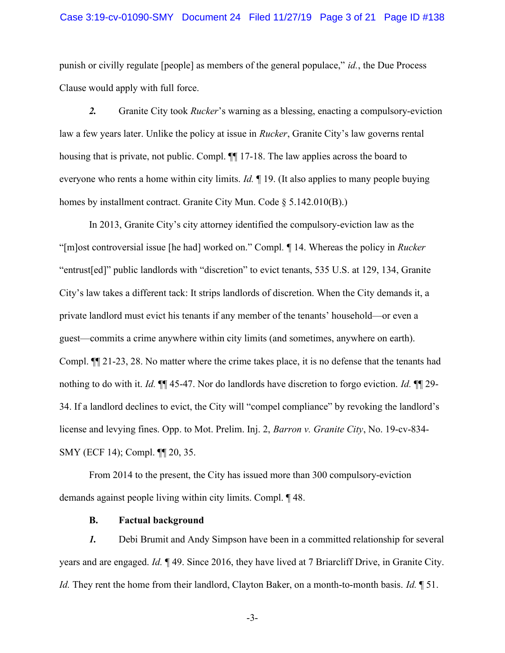### Case 3:19-cv-01090-SMY Document 24 Filed 11/27/19 Page 3 of 21 Page ID #138

punish or civilly regulate [people] as members of the general populace," id., the Due Process Clause would apply with full force.

2. Granite City took *Rucker*'s warning as a blessing, enacting a compulsory-eviction law a few years later. Unlike the policy at issue in *Rucker*, Granite City's law governs rental housing that is private, not public. Compl.  $\P$  17-18. The law applies across the board to everyone who rents a home within city limits.  $Id$ .  $\P$  19. (It also applies to many people buying homes by installment contract. Granite City Mun. Code § 5.142.010(B).)

In 2013, Granite City's city attorney identified the compulsory-eviction law as the "[m]ost controversial issue [he had] worked on." Compl. ¶ 14. Whereas the policy in Rucker "entrust[ed]" public landlords with "discretion" to evict tenants, 535 U.S. at 129, 134, Granite City's law takes a different tack: It strips landlords of discretion. When the City demands it, a private landlord must evict his tenants if any member of the tenants' household—or even a guest—commits a crime anywhere within city limits (and sometimes, anywhere on earth). Compl. ¶¶ 21-23, 28. No matter where the crime takes place, it is no defense that the tenants had nothing to do with it. Id.  $\P$  45-47. Nor do landlords have discretion to forgo eviction. Id.  $\P$  29-34. If a landlord declines to evict, the City will "compel compliance" by revoking the landlord's license and levying fines. Opp. to Mot. Prelim. Inj. 2, Barron v. Granite City, No. 19-cv-834-SMY (ECF 14); Compl. ¶¶ 20, 35.

From 2014 to the present, the City has issued more than 300 compulsory-eviction demands against people living within city limits. Compl. ¶ 48.

#### B. Factual background

1. Debi Brumit and Andy Simpson have been in a committed relationship for several years and are engaged. Id. ¶ 49. Since 2016, they have lived at 7 Briarcliff Drive, in Granite City. Id. They rent the home from their landlord, Clayton Baker, on a month-to-month basis. Id. 1 51.

-3-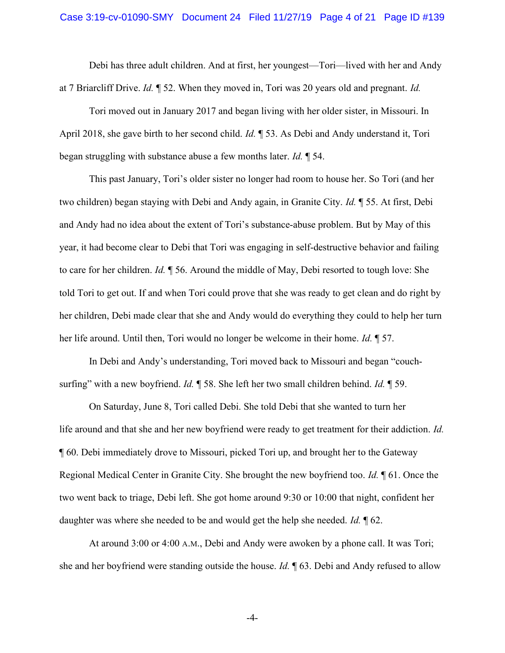Debi has three adult children. And at first, her youngest—Tori—lived with her and Andy at 7 Briarcliff Drive. Id. ¶ 52. When they moved in, Tori was 20 years old and pregnant. Id.

Tori moved out in January 2017 and began living with her older sister, in Missouri. In April 2018, she gave birth to her second child. *Id.*  $\sqrt{ }$  53. As Debi and Andy understand it, Tori began struggling with substance abuse a few months later. Id. ¶ 54.

This past January, Tori's older sister no longer had room to house her. So Tori (and her two children) began staying with Debi and Andy again, in Granite City. Id. ¶ 55. At first, Debi and Andy had no idea about the extent of Tori's substance-abuse problem. But by May of this year, it had become clear to Debi that Tori was engaging in self-destructive behavior and failing to care for her children. Id. ¶ 56. Around the middle of May, Debi resorted to tough love: She told Tori to get out. If and when Tori could prove that she was ready to get clean and do right by her children, Debi made clear that she and Andy would do everything they could to help her turn her life around. Until then, Tori would no longer be welcome in their home. *Id.* 157.

In Debi and Andy's understanding, Tori moved back to Missouri and began "couchsurfing" with a new boyfriend. Id.  $\parallel$  58. She left her two small children behind. Id.  $\parallel$  59.

On Saturday, June 8, Tori called Debi. She told Debi that she wanted to turn her life around and that she and her new boyfriend were ready to get treatment for their addiction. Id. ¶ 60. Debi immediately drove to Missouri, picked Tori up, and brought her to the Gateway Regional Medical Center in Granite City. She brought the new boyfriend too. Id. ¶ 61. Once the two went back to triage, Debi left. She got home around 9:30 or 10:00 that night, confident her daughter was where she needed to be and would get the help she needed. Id.  $\oint$  62.

At around 3:00 or 4:00 A.M., Debi and Andy were awoken by a phone call. It was Tori; she and her boyfriend were standing outside the house. Id.  $\parallel$  63. Debi and Andy refused to allow

-4-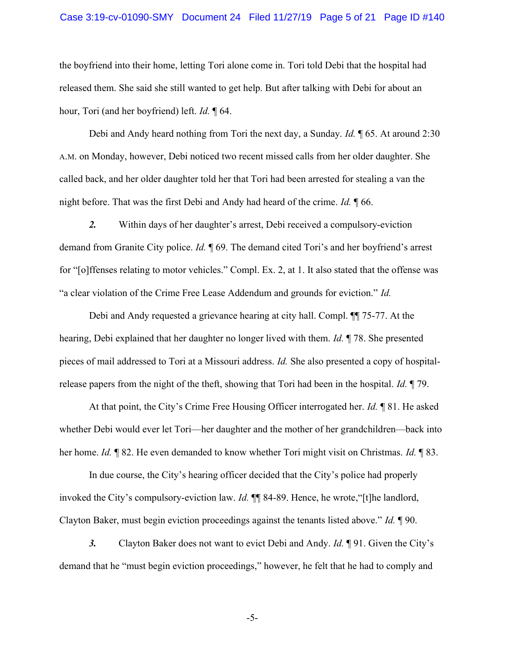### Case 3:19-cv-01090-SMY Document 24 Filed 11/27/19 Page 5 of 21 Page ID #140

the boyfriend into their home, letting Tori alone come in. Tori told Debi that the hospital had released them. She said she still wanted to get help. But after talking with Debi for about an hour, Tori (and her boyfriend) left. *Id.* 164.

Debi and Andy heard nothing from Tori the next day, a Sunday. *Id.* 165. At around 2:30 A.M. on Monday, however, Debi noticed two recent missed calls from her older daughter. She called back, and her older daughter told her that Tori had been arrested for stealing a van the night before. That was the first Debi and Andy had heard of the crime. Id. ¶ 66.

2. Within days of her daughter's arrest, Debi received a compulsory-eviction demand from Granite City police. Id. ¶ 69. The demand cited Tori's and her boyfriend's arrest for "[o]ffenses relating to motor vehicles." Compl. Ex. 2, at 1. It also stated that the offense was "a clear violation of the Crime Free Lease Addendum and grounds for eviction." Id.

Debi and Andy requested a grievance hearing at city hall. Compl. ¶¶ 75-77. At the hearing, Debi explained that her daughter no longer lived with them. Id. ¶ 78. She presented pieces of mail addressed to Tori at a Missouri address. Id. She also presented a copy of hospitalrelease papers from the night of the theft, showing that Tori had been in the hospital. *Id.* 179.

At that point, the City's Crime Free Housing Officer interrogated her. Id. ¶ 81. He asked whether Debi would ever let Tori—her daughter and the mother of her grandchildren—back into her home. Id. ¶ 82. He even demanded to know whether Tori might visit on Christmas. Id. ¶ 83.

In due course, the City's hearing officer decided that the City's police had properly invoked the City's compulsory-eviction law. Id. ¶¶ 84-89. Hence, he wrote,"[t]he landlord, Clayton Baker, must begin eviction proceedings against the tenants listed above." Id. ¶ 90.

3. Clayton Baker does not want to evict Debi and Andy. *Id.* **[91.** Given the City's demand that he "must begin eviction proceedings," however, he felt that he had to comply and

-5-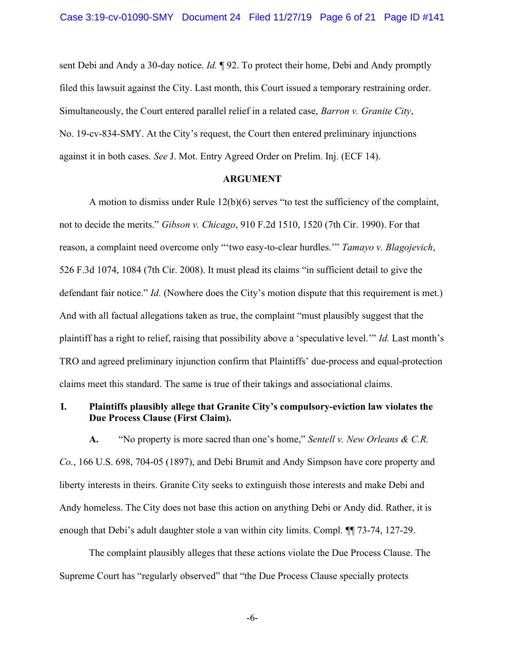sent Debi and Andy a 30-day notice. *Id.*  $\mathbb{I}92$ . To protect their home, Debi and Andy promptly filed this lawsuit against the City. Last month, this Court issued a temporary restraining order. Simultaneously, the Court entered parallel relief in a related case, *Barron v. Granite City*, No. 19-cv-834-SMY. At the City's request, the Court then entered preliminary injunctions against it in both cases. See J. Mot. Entry Agreed Order on Prelim. Inj. (ECF 14).

### ARGUMENT

A motion to dismiss under Rule 12(b)(6) serves "to test the sufficiency of the complaint, not to decide the merits." Gibson v. Chicago, 910 F.2d 1510, 1520 (7th Cir. 1990). For that reason, a complaint need overcome only "'two easy-to-clear hurdles.'" Tamayo v. Blagojevich, 526 F.3d 1074, 1084 (7th Cir. 2008). It must plead its claims "in sufficient detail to give the defendant fair notice." *Id.* (Nowhere does the City's motion dispute that this requirement is met.) And with all factual allegations taken as true, the complaint "must plausibly suggest that the plaintiff has a right to relief, raising that possibility above a 'speculative level.'" Id. Last month's TRO and agreed preliminary injunction confirm that Plaintiffs' due-process and equal-protection claims meet this standard. The same is true of their takings and associational claims.

## I. Plaintiffs plausibly allege that Granite City's compulsory-eviction law violates the Due Process Clause (First Claim).

A. "No property is more sacred than one's home," Sentell v. New Orleans  $\& C.R.$ Co., 166 U.S. 698, 704-05 (1897), and Debi Brumit and Andy Simpson have core property and liberty interests in theirs. Granite City seeks to extinguish those interests and make Debi and Andy homeless. The City does not base this action on anything Debi or Andy did. Rather, it is enough that Debi's adult daughter stole a van within city limits. Compl. ¶¶ 73-74, 127-29.

The complaint plausibly alleges that these actions violate the Due Process Clause. The Supreme Court has "regularly observed" that "the Due Process Clause specially protects

-6-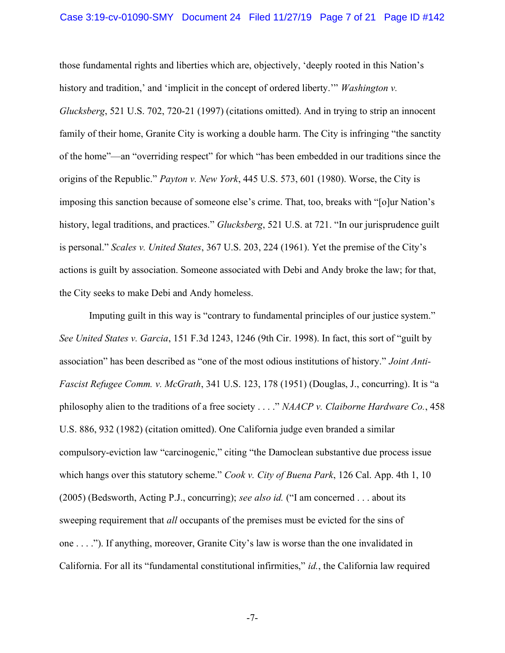those fundamental rights and liberties which are, objectively, 'deeply rooted in this Nation's history and tradition,' and 'implicit in the concept of ordered liberty.'" Washington v. Glucksberg, 521 U.S. 702, 720-21 (1997) (citations omitted). And in trying to strip an innocent family of their home, Granite City is working a double harm. The City is infringing "the sanctity of the home"—an "overriding respect" for which "has been embedded in our traditions since the origins of the Republic." Payton v. New York, 445 U.S. 573, 601 (1980). Worse, the City is imposing this sanction because of someone else's crime. That, too, breaks with "[o]ur Nation's history, legal traditions, and practices." *Glucksberg*, 521 U.S. at 721. "In our jurisprudence guilt is personal." Scales v. United States, 367 U.S. 203, 224 (1961). Yet the premise of the City's actions is guilt by association. Someone associated with Debi and Andy broke the law; for that, the City seeks to make Debi and Andy homeless.

Imputing guilt in this way is "contrary to fundamental principles of our justice system." See United States v. Garcia, 151 F.3d 1243, 1246 (9th Cir. 1998). In fact, this sort of "guilt by association" has been described as "one of the most odious institutions of history." Joint Anti-Fascist Refugee Comm. v. McGrath, 341 U.S. 123, 178 (1951) (Douglas, J., concurring). It is "a philosophy alien to the traditions of a free society  $\ldots$ ." NAACP v. Claiborne Hardware Co., 458 U.S. 886, 932 (1982) (citation omitted). One California judge even branded a similar compulsory-eviction law "carcinogenic," citing "the Damoclean substantive due process issue which hangs over this statutory scheme." Cook v. City of Buena Park, 126 Cal. App. 4th 1, 10 (2005) (Bedsworth, Acting P.J., concurring); see also id. ("I am concerned  $\dots$  about its sweeping requirement that *all* occupants of the premises must be evicted for the sins of one . . . ."). If anything, moreover, Granite City's law is worse than the one invalidated in California. For all its "fundamental constitutional infirmities," id., the California law required

-7-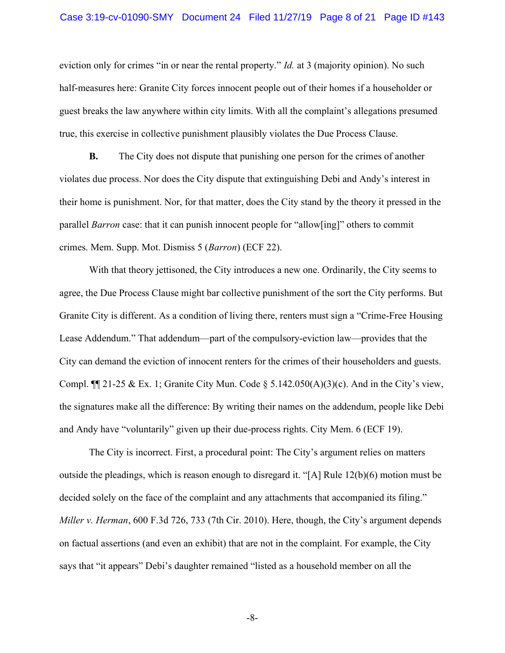eviction only for crimes "in or near the rental property." *Id.* at 3 (majority opinion). No such half-measures here: Granite City forces innocent people out of their homes if a householder or guest breaks the law anywhere within city limits. With all the complaint's allegations presumed true, this exercise in collective punishment plausibly violates the Due Process Clause.

B. The City does not dispute that punishing one person for the crimes of another violates due process. Nor does the City dispute that extinguishing Debi and Andy's interest in their home is punishment. Nor, for that matter, does the City stand by the theory it pressed in the parallel Barron case: that it can punish innocent people for "allow[ing]" others to commit crimes. Mem. Supp. Mot. Dismiss 5 (Barron) (ECF 22).

With that theory jettisoned, the City introduces a new one. Ordinarily, the City seems to agree, the Due Process Clause might bar collective punishment of the sort the City performs. But Granite City is different. As a condition of living there, renters must sign a "Crime-Free Housing Lease Addendum." That addendum—part of the compulsory-eviction law—provides that the City can demand the eviction of innocent renters for the crimes of their householders and guests. Compl.  $\P$ [121-25 & Ex. 1; Granite City Mun. Code § 5.142.050(A)(3)(c). And in the City's view, the signatures make all the difference: By writing their names on the addendum, people like Debi and Andy have "voluntarily" given up their due-process rights. City Mem. 6 (ECF 19).

The City is incorrect. First, a procedural point: The City's argument relies on matters outside the pleadings, which is reason enough to disregard it. "[A] Rule  $12(b)(6)$  motion must be decided solely on the face of the complaint and any attachments that accompanied its filing." Miller v. Herman, 600 F.3d 726, 733 (7th Cir. 2010). Here, though, the City's argument depends on factual assertions (and even an exhibit) that are not in the complaint. For example, the City says that "it appears" Debi's daughter remained "listed as a household member on all the

-8-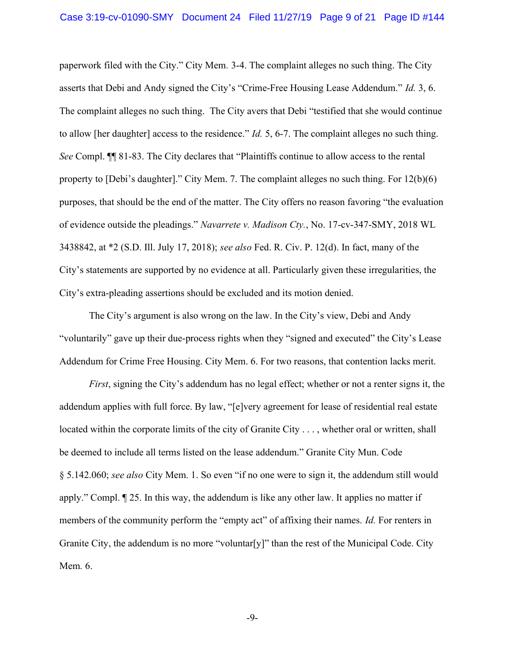paperwork filed with the City." City Mem. 3-4. The complaint alleges no such thing. The City asserts that Debi and Andy signed the City's "Crime-Free Housing Lease Addendum." Id. 3, 6. The complaint alleges no such thing. The City avers that Debi "testified that she would continue to allow [her daughter] access to the residence." *Id.* 5, 6-7. The complaint alleges no such thing. See Compl. ¶¶ 81-83. The City declares that "Plaintiffs continue to allow access to the rental property to [Debi's daughter]." City Mem. 7. The complaint alleges no such thing. For 12(b)(6) purposes, that should be the end of the matter. The City offers no reason favoring "the evaluation of evidence outside the pleadings." Navarrete v. Madison Cty., No. 17-cv-347-SMY, 2018 WL 3438842, at \*2 (S.D. Ill. July 17, 2018); see also Fed. R. Civ. P. 12(d). In fact, many of the City's statements are supported by no evidence at all. Particularly given these irregularities, the City's extra-pleading assertions should be excluded and its motion denied.

 The City's argument is also wrong on the law. In the City's view, Debi and Andy "voluntarily" gave up their due-process rights when they "signed and executed" the City's Lease Addendum for Crime Free Housing. City Mem. 6. For two reasons, that contention lacks merit.

First, signing the City's addendum has no legal effect; whether or not a renter signs it, the addendum applies with full force. By law, "[e]very agreement for lease of residential real estate located within the corporate limits of the city of Granite City . . . , whether oral or written, shall be deemed to include all terms listed on the lease addendum." Granite City Mun. Code § 5.142.060; see also City Mem. 1. So even "if no one were to sign it, the addendum still would apply." Compl. ¶ 25. In this way, the addendum is like any other law. It applies no matter if members of the community perform the "empty act" of affixing their names. *Id.* For renters in Granite City, the addendum is no more "voluntar[y]" than the rest of the Municipal Code. City Mem. 6.

-9-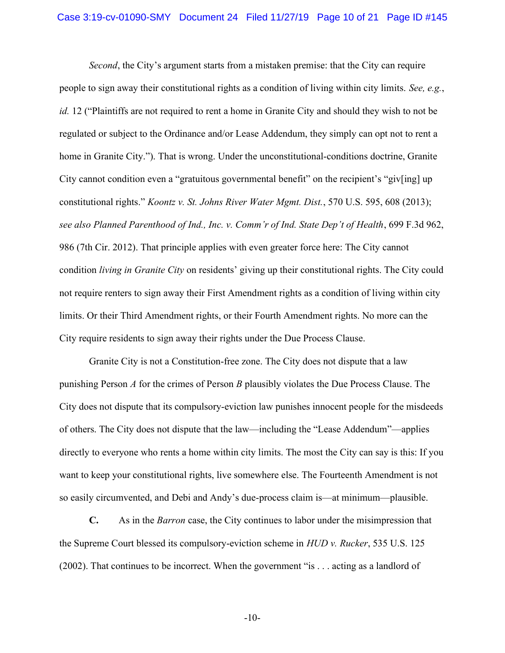Second, the City's argument starts from a mistaken premise: that the City can require people to sign away their constitutional rights as a condition of living within city limits. See, e.g., id. 12 ("Plaintiffs are not required to rent a home in Granite City and should they wish to not be regulated or subject to the Ordinance and/or Lease Addendum, they simply can opt not to rent a home in Granite City."). That is wrong. Under the unconstitutional-conditions doctrine, Granite City cannot condition even a "gratuitous governmental benefit" on the recipient's "giv[ing] up constitutional rights." Koontz v. St. Johns River Water Mgmt. Dist., 570 U.S. 595, 608 (2013); see also Planned Parenthood of Ind., Inc. v. Comm'r of Ind. State Dep't of Health, 699 F.3d 962, 986 (7th Cir. 2012). That principle applies with even greater force here: The City cannot condition living in Granite City on residents' giving up their constitutional rights. The City could not require renters to sign away their First Amendment rights as a condition of living within city limits. Or their Third Amendment rights, or their Fourth Amendment rights. No more can the City require residents to sign away their rights under the Due Process Clause.

Granite City is not a Constitution-free zone. The City does not dispute that a law punishing Person A for the crimes of Person B plausibly violates the Due Process Clause. The City does not dispute that its compulsory-eviction law punishes innocent people for the misdeeds of others. The City does not dispute that the law—including the "Lease Addendum"—applies directly to everyone who rents a home within city limits. The most the City can say is this: If you want to keep your constitutional rights, live somewhere else. The Fourteenth Amendment is not so easily circumvented, and Debi and Andy's due-process claim is—at minimum—plausible.

C. As in the Barron case, the City continues to labor under the misimpression that the Supreme Court blessed its compulsory-eviction scheme in HUD v. Rucker, 535 U.S. 125 (2002). That continues to be incorrect. When the government "is . . . acting as a landlord of

-10-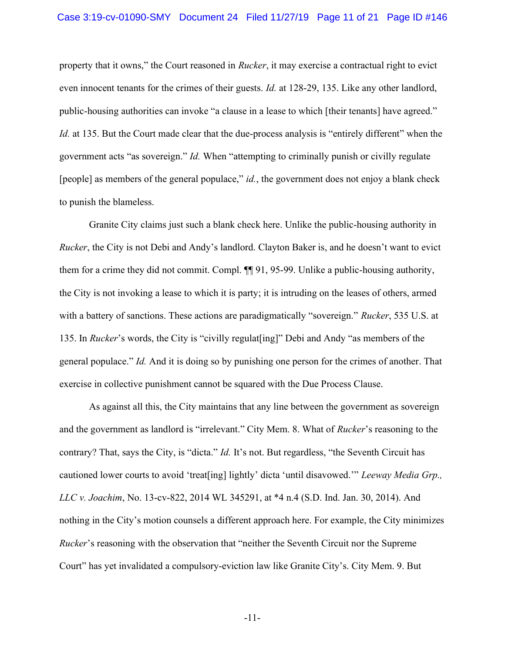### Case 3:19-cv-01090-SMY Document 24 Filed 11/27/19 Page 11 of 21 Page ID #146

property that it owns," the Court reasoned in Rucker, it may exercise a contractual right to evict even innocent tenants for the crimes of their guests. Id. at 128-29, 135. Like any other landlord, public-housing authorities can invoke "a clause in a lease to which [their tenants] have agreed." Id. at 135. But the Court made clear that the due-process analysis is "entirely different" when the government acts "as sovereign." Id. When "attempting to criminally punish or civilly regulate [people] as members of the general populace,"  $id$ , the government does not enjoy a blank check to punish the blameless.

Granite City claims just such a blank check here. Unlike the public-housing authority in Rucker, the City is not Debi and Andy's landlord. Clayton Baker is, and he doesn't want to evict them for a crime they did not commit. Compl. ¶¶ 91, 95-99. Unlike a public-housing authority, the City is not invoking a lease to which it is party; it is intruding on the leases of others, armed with a battery of sanctions. These actions are paradigmatically "sovereign." Rucker, 535 U.S. at 135. In Rucker's words, the City is "civilly regulat[ing]" Debi and Andy "as members of the general populace." Id. And it is doing so by punishing one person for the crimes of another. That exercise in collective punishment cannot be squared with the Due Process Clause.

As against all this, the City maintains that any line between the government as sovereign and the government as landlord is "irrelevant." City Mem. 8. What of Rucker's reasoning to the contrary? That, says the City, is "dicta." Id. It's not. But regardless, "the Seventh Circuit has cautioned lower courts to avoid 'treat[ing] lightly' dicta 'until disavowed.'" Leeway Media Grp., LLC v. Joachim, No. 13-cv-822, 2014 WL 345291, at \*4 n.4 (S.D. Ind. Jan. 30, 2014). And nothing in the City's motion counsels a different approach here. For example, the City minimizes Rucker's reasoning with the observation that "neither the Seventh Circuit nor the Supreme Court" has yet invalidated a compulsory-eviction law like Granite City's. City Mem. 9. But

-11-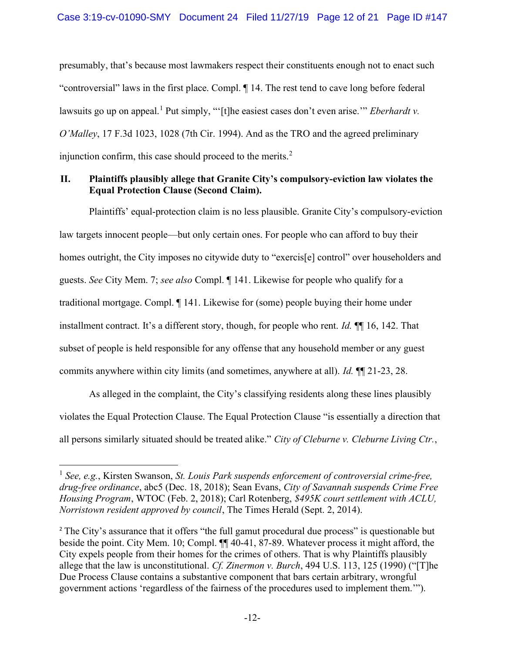presumably, that's because most lawmakers respect their constituents enough not to enact such "controversial" laws in the first place. Compl. ¶ 14. The rest tend to cave long before federal lawsuits go up on appeal.<sup>1</sup> Put simply, "'[t]he easiest cases don't even arise."" *Eberhardt v*. O'Malley, 17 F.3d 1023, 1028 (7th Cir. 1994). And as the TRO and the agreed preliminary injunction confirm, this case should proceed to the merits. $<sup>2</sup>$ </sup>

## II. Plaintiffs plausibly allege that Granite City's compulsory-eviction law violates the Equal Protection Clause (Second Claim).

Plaintiffs' equal-protection claim is no less plausible. Granite City's compulsory-eviction law targets innocent people—but only certain ones. For people who can afford to buy their homes outright, the City imposes no citywide duty to "exercis<sup>[e]</sup> control" over householders and guests. See City Mem. 7; see also Compl. ¶ 141. Likewise for people who qualify for a traditional mortgage. Compl. ¶ 141. Likewise for (some) people buying their home under installment contract. It's a different story, though, for people who rent. Id. ¶¶ 16, 142. That subset of people is held responsible for any offense that any household member or any guest commits anywhere within city limits (and sometimes, anywhere at all). Id. ¶¶ 21-23, 28.

As alleged in the complaint, the City's classifying residents along these lines plausibly violates the Equal Protection Clause. The Equal Protection Clause "is essentially a direction that all persons similarly situated should be treated alike." City of Cleburne v. Cleburne Living Ctr.,

 $1$  See, e.g., Kirsten Swanson, St. Louis Park suspends enforcement of controversial crime-free, drug-free ordinance, abc5 (Dec. 18, 2018); Sean Evans, City of Savannah suspends Crime Free Housing Program, WTOC (Feb. 2, 2018); Carl Rotenberg, \$495K court settlement with ACLU, Norristown resident approved by council, The Times Herald (Sept. 2, 2014).

<sup>&</sup>lt;sup>2</sup> The City's assurance that it offers "the full gamut procedural due process" is questionable but beside the point. City Mem. 10; Compl. ¶¶ 40-41, 87-89. Whatever process it might afford, the City expels people from their homes for the crimes of others. That is why Plaintiffs plausibly allege that the law is unconstitutional. Cf. Zinermon v. Burch, 494 U.S. 113, 125 (1990) ("[T]he Due Process Clause contains a substantive component that bars certain arbitrary, wrongful government actions 'regardless of the fairness of the procedures used to implement them.'").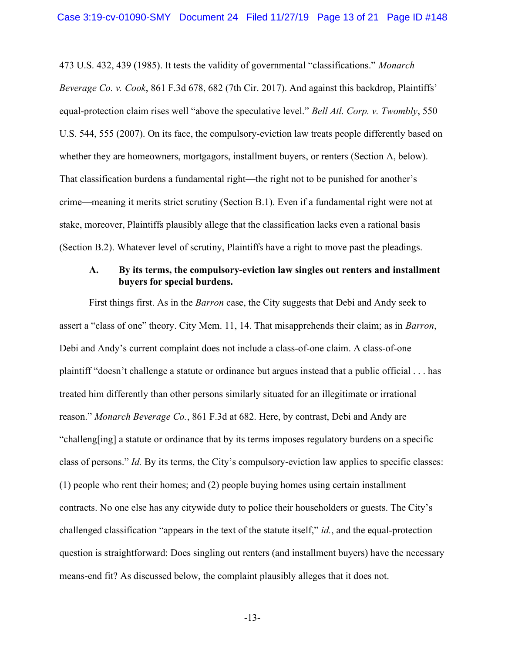473 U.S. 432, 439 (1985). It tests the validity of governmental "classifications." Monarch Beverage Co. v. Cook, 861 F.3d 678, 682 (7th Cir. 2017). And against this backdrop, Plaintiffs' equal-protection claim rises well "above the speculative level." *Bell Atl. Corp. v. Twombly*, 550 U.S. 544, 555 (2007). On its face, the compulsory-eviction law treats people differently based on whether they are homeowners, mortgagors, installment buyers, or renters (Section A, below). That classification burdens a fundamental right—the right not to be punished for another's crime—meaning it merits strict scrutiny (Section B.1). Even if a fundamental right were not at stake, moreover, Plaintiffs plausibly allege that the classification lacks even a rational basis (Section B.2). Whatever level of scrutiny, Plaintiffs have a right to move past the pleadings.

### A. By its terms, the compulsory-eviction law singles out renters and installment buyers for special burdens.

First things first. As in the Barron case, the City suggests that Debi and Andy seek to assert a "class of one" theory. City Mem. 11, 14. That misapprehends their claim; as in Barron, Debi and Andy's current complaint does not include a class-of-one claim. A class-of-one plaintiff "doesn't challenge a statute or ordinance but argues instead that a public official . . . has treated him differently than other persons similarly situated for an illegitimate or irrational reason." Monarch Beverage Co., 861 F.3d at 682. Here, by contrast, Debi and Andy are "challeng[ing] a statute or ordinance that by its terms imposes regulatory burdens on a specific class of persons." Id. By its terms, the City's compulsory-eviction law applies to specific classes: (1) people who rent their homes; and (2) people buying homes using certain installment contracts. No one else has any citywide duty to police their householders or guests. The City's challenged classification "appears in the text of the statute itself," id., and the equal-protection question is straightforward: Does singling out renters (and installment buyers) have the necessary means-end fit? As discussed below, the complaint plausibly alleges that it does not.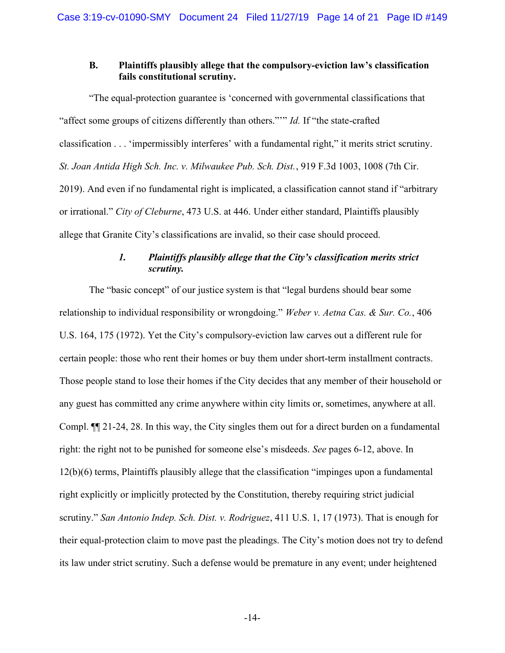## B. Plaintiffs plausibly allege that the compulsory-eviction law's classification fails constitutional scrutiny.

"The equal-protection guarantee is 'concerned with governmental classifications that "affect some groups of citizens differently than others.""" *Id.* If "the state-crafted classification . . . 'impermissibly interferes' with a fundamental right," it merits strict scrutiny. St. Joan Antida High Sch. Inc. v. Milwaukee Pub. Sch. Dist., 919 F.3d 1003, 1008 (7th Cir. 2019). And even if no fundamental right is implicated, a classification cannot stand if "arbitrary or irrational." City of Cleburne, 473 U.S. at 446. Under either standard, Plaintiffs plausibly allege that Granite City's classifications are invalid, so their case should proceed.

# 1. Plaintiffs plausibly allege that the City's classification merits strict scrutiny.

The "basic concept" of our justice system is that "legal burdens should bear some relationship to individual responsibility or wrongdoing." Weber v. Aetna Cas. & Sur. Co., 406 U.S. 164, 175 (1972). Yet the City's compulsory-eviction law carves out a different rule for certain people: those who rent their homes or buy them under short-term installment contracts. Those people stand to lose their homes if the City decides that any member of their household or any guest has committed any crime anywhere within city limits or, sometimes, anywhere at all. Compl. ¶¶ 21-24, 28. In this way, the City singles them out for a direct burden on a fundamental right: the right not to be punished for someone else's misdeeds. See pages 6-12, above. In 12(b)(6) terms, Plaintiffs plausibly allege that the classification "impinges upon a fundamental right explicitly or implicitly protected by the Constitution, thereby requiring strict judicial scrutiny." San Antonio Indep. Sch. Dist. v. Rodriguez, 411 U.S. 1, 17 (1973). That is enough for their equal-protection claim to move past the pleadings. The City's motion does not try to defend its law under strict scrutiny. Such a defense would be premature in any event; under heightened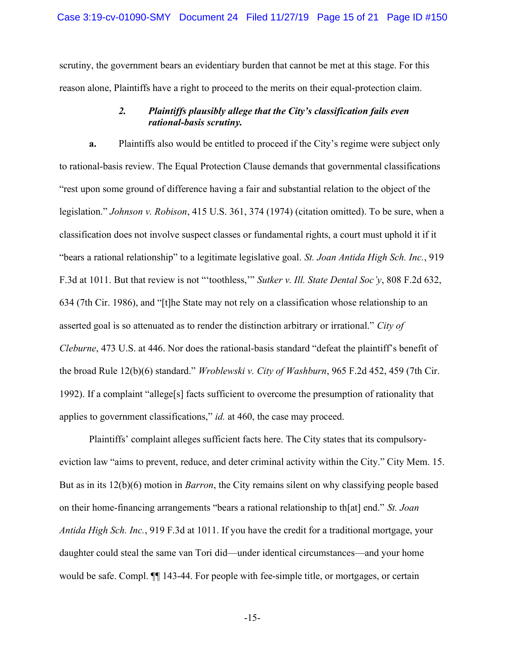scrutiny, the government bears an evidentiary burden that cannot be met at this stage. For this reason alone, Plaintiffs have a right to proceed to the merits on their equal-protection claim.

## 2. Plaintiffs plausibly allege that the City's classification fails even rational-basis scrutiny.

a. Plaintiffs also would be entitled to proceed if the City's regime were subject only to rational-basis review. The Equal Protection Clause demands that governmental classifications "rest upon some ground of difference having a fair and substantial relation to the object of the legislation." Johnson v. Robison, 415 U.S. 361, 374 (1974) (citation omitted). To be sure, when a classification does not involve suspect classes or fundamental rights, a court must uphold it if it "bears a rational relationship" to a legitimate legislative goal. St. Joan Antida High Sch. Inc., 919 F.3d at 1011. But that review is not "'toothless," Sutker v. Ill. State Dental Soc'y, 808 F.2d 632, 634 (7th Cir. 1986), and "[t]he State may not rely on a classification whose relationship to an asserted goal is so attenuated as to render the distinction arbitrary or irrational." City of Cleburne, 473 U.S. at 446. Nor does the rational-basis standard "defeat the plaintiff's benefit of the broad Rule 12(b)(6) standard." Wroblewski v. City of Washburn, 965 F.2d 452, 459 (7th Cir. 1992). If a complaint "allege[s] facts sufficient to overcome the presumption of rationality that applies to government classifications," id. at 460, the case may proceed.

Plaintiffs' complaint alleges sufficient facts here. The City states that its compulsoryeviction law "aims to prevent, reduce, and deter criminal activity within the City." City Mem. 15. But as in its 12(b)(6) motion in *Barron*, the City remains silent on why classifying people based on their home-financing arrangements "bears a rational relationship to th[at] end." St. Joan Antida High Sch. Inc., 919 F.3d at 1011. If you have the credit for a traditional mortgage, your daughter could steal the same van Tori did—under identical circumstances—and your home would be safe. Compl. ¶¶ 143-44. For people with fee-simple title, or mortgages, or certain

-15-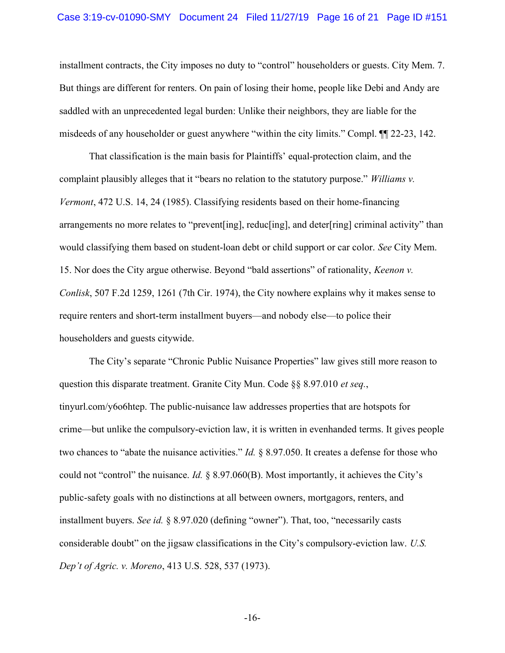### Case 3:19-cv-01090-SMY Document 24 Filed 11/27/19 Page 16 of 21 Page ID #151

installment contracts, the City imposes no duty to "control" householders or guests. City Mem. 7. But things are different for renters. On pain of losing their home, people like Debi and Andy are saddled with an unprecedented legal burden: Unlike their neighbors, they are liable for the misdeeds of any householder or guest anywhere "within the city limits." Compl. ¶¶ 22-23, 142.

That classification is the main basis for Plaintiffs' equal-protection claim, and the complaint plausibly alleges that it "bears no relation to the statutory purpose." Williams v. Vermont, 472 U.S. 14, 24 (1985). Classifying residents based on their home-financing arrangements no more relates to "prevent[ing], reduc[ing], and deter[ring] criminal activity" than would classifying them based on student-loan debt or child support or car color. See City Mem. 15. Nor does the City argue otherwise. Beyond "bald assertions" of rationality, Keenon v. Conlisk, 507 F.2d 1259, 1261 (7th Cir. 1974), the City nowhere explains why it makes sense to require renters and short-term installment buyers—and nobody else—to police their householders and guests citywide.

 The City's separate "Chronic Public Nuisance Properties" law gives still more reason to question this disparate treatment. Granite City Mun. Code §§ 8.97.010 et seq., tinyurl.com/y6o6htep. The public-nuisance law addresses properties that are hotspots for crime—but unlike the compulsory-eviction law, it is written in evenhanded terms. It gives people two chances to "abate the nuisance activities." *Id.* § 8.97.050. It creates a defense for those who could not "control" the nuisance. Id. § 8.97.060(B). Most importantly, it achieves the City's public-safety goals with no distinctions at all between owners, mortgagors, renters, and installment buyers. See id. § 8.97.020 (defining "owner"). That, too, "necessarily casts considerable doubt" on the jigsaw classifications in the City's compulsory-eviction law. U.S. Dep't of Agric. v. Moreno, 413 U.S. 528, 537 (1973).

-16-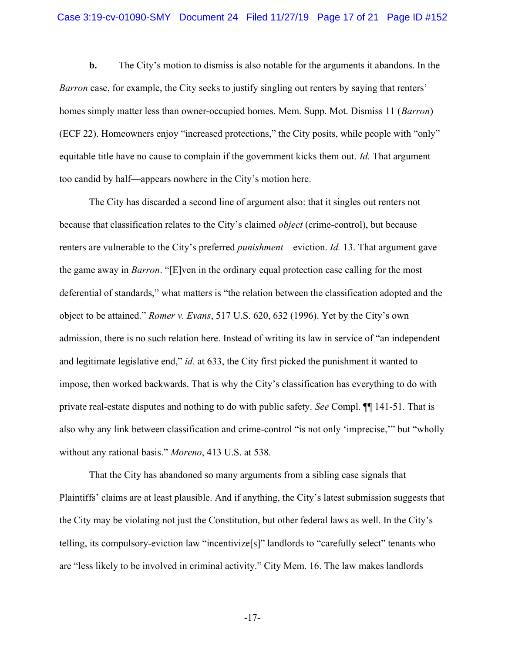### Case 3:19-cv-01090-SMY Document 24 Filed 11/27/19 Page 17 of 21 Page ID #152

b. The City's motion to dismiss is also notable for the arguments it abandons. In the Barron case, for example, the City seeks to justify singling out renters by saying that renters' homes simply matter less than owner-occupied homes. Mem. Supp. Mot. Dismiss 11 *(Barron)* (ECF 22). Homeowners enjoy "increased protections," the City posits, while people with "only" equitable title have no cause to complain if the government kicks them out. Id. That argument too candid by half—appears nowhere in the City's motion here.

The City has discarded a second line of argument also: that it singles out renters not because that classification relates to the City's claimed *object* (crime-control), but because renters are vulnerable to the City's preferred *punishment*—eviction. *Id.* 13. That argument gave the game away in Barron. "[E]ven in the ordinary equal protection case calling for the most deferential of standards," what matters is "the relation between the classification adopted and the object to be attained." Romer v. Evans, 517 U.S. 620, 632 (1996). Yet by the City's own admission, there is no such relation here. Instead of writing its law in service of "an independent and legitimate legislative end," id. at 633, the City first picked the punishment it wanted to impose, then worked backwards. That is why the City's classification has everything to do with private real-estate disputes and nothing to do with public safety. See Compl. ¶¶ 141-51. That is also why any link between classification and crime-control "is not only 'imprecise,'" but "wholly without any rational basis." *Moreno*, 413 U.S. at 538.

 That the City has abandoned so many arguments from a sibling case signals that Plaintiffs' claims are at least plausible. And if anything, the City's latest submission suggests that the City may be violating not just the Constitution, but other federal laws as well. In the City's telling, its compulsory-eviction law "incentivize[s]" landlords to "carefully select" tenants who are "less likely to be involved in criminal activity." City Mem. 16. The law makes landlords

-17-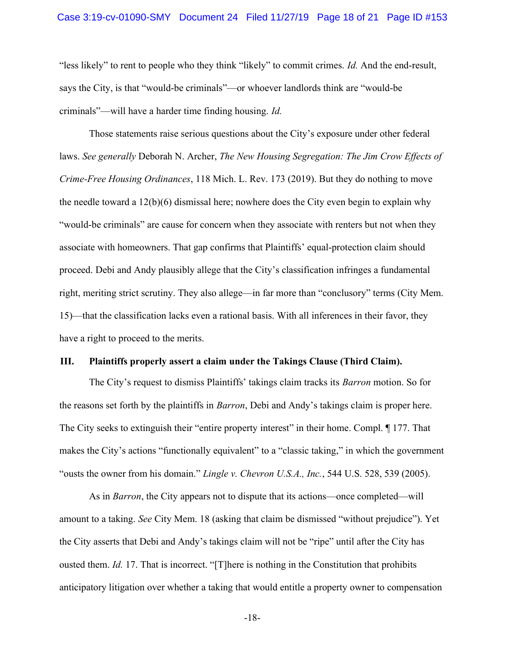### Case 3:19-cv-01090-SMY Document 24 Filed 11/27/19 Page 18 of 21 Page ID #153

"less likely" to rent to people who they think "likely" to commit crimes. Id. And the end-result, says the City, is that "would-be criminals"—or whoever landlords think are "would-be criminals"—will have a harder time finding housing. Id.

Those statements raise serious questions about the City's exposure under other federal laws. See generally Deborah N. Archer, The New Housing Segregation: The Jim Crow Effects of Crime-Free Housing Ordinances, 118 Mich. L. Rev. 173 (2019). But they do nothing to move the needle toward a 12(b)(6) dismissal here; nowhere does the City even begin to explain why "would-be criminals" are cause for concern when they associate with renters but not when they associate with homeowners. That gap confirms that Plaintiffs' equal-protection claim should proceed. Debi and Andy plausibly allege that the City's classification infringes a fundamental right, meriting strict scrutiny. They also allege—in far more than "conclusory" terms (City Mem. 15)—that the classification lacks even a rational basis. With all inferences in their favor, they have a right to proceed to the merits.

### III. Plaintiffs properly assert a claim under the Takings Clause (Third Claim).

The City's request to dismiss Plaintiffs' takings claim tracks its *Barron* motion. So for the reasons set forth by the plaintiffs in Barron, Debi and Andy's takings claim is proper here. The City seeks to extinguish their "entire property interest" in their home. Compl.  $\P$  177. That makes the City's actions "functionally equivalent" to a "classic taking," in which the government "ousts the owner from his domain." Lingle v. Chevron U.S.A., Inc., 544 U.S. 528, 539 (2005).

As in *Barron*, the City appears not to dispute that its actions—once completed—will amount to a taking. See City Mem. 18 (asking that claim be dismissed "without prejudice"). Yet the City asserts that Debi and Andy's takings claim will not be "ripe" until after the City has ousted them. Id. 17. That is incorrect. "[T]here is nothing in the Constitution that prohibits anticipatory litigation over whether a taking that would entitle a property owner to compensation

-18-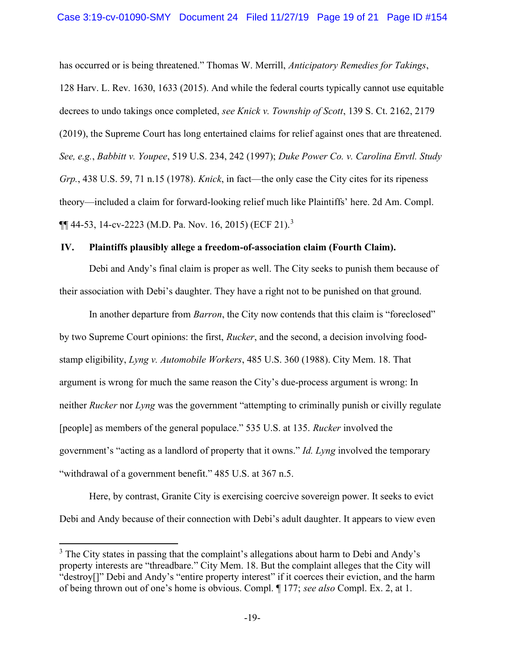has occurred or is being threatened." Thomas W. Merrill, Anticipatory Remedies for Takings, 128 Harv. L. Rev. 1630, 1633 (2015). And while the federal courts typically cannot use equitable decrees to undo takings once completed, see Knick v. Township of Scott, 139 S. Ct. 2162, 2179 (2019), the Supreme Court has long entertained claims for relief against ones that are threatened. See, e.g., Babbitt v. Youpee, 519 U.S. 234, 242 (1997); Duke Power Co. v. Carolina Envtl. Study Grp., 438 U.S. 59, 71 n.15 (1978). *Knick*, in fact—the only case the City cites for its ripeness theory—included a claim for forward-looking relief much like Plaintiffs' here. 2d Am. Compl.  $\P$ [44-53, 14-cv-2223 (M.D. Pa. Nov. 16, 2015) (ECF 21).<sup>3</sup>

### IV. Plaintiffs plausibly allege a freedom-of-association claim (Fourth Claim).

Debi and Andy's final claim is proper as well. The City seeks to punish them because of their association with Debi's daughter. They have a right not to be punished on that ground.

In another departure from *Barron*, the City now contends that this claim is "foreclosed" by two Supreme Court opinions: the first, Rucker, and the second, a decision involving foodstamp eligibility, Lyng v. Automobile Workers, 485 U.S. 360 (1988). City Mem. 18. That argument is wrong for much the same reason the City's due-process argument is wrong: In neither Rucker nor Lyng was the government "attempting to criminally punish or civilly regulate [people] as members of the general populace." 535 U.S. at 135. Rucker involved the government's "acting as a landlord of property that it owns." Id. Lyng involved the temporary "withdrawal of a government benefit." 485 U.S. at 367 n.5.

Here, by contrast, Granite City is exercising coercive sovereign power. It seeks to evict Debi and Andy because of their connection with Debi's adult daughter. It appears to view even

 $3$  The City states in passing that the complaint's allegations about harm to Debi and Andy's property interests are "threadbare." City Mem. 18. But the complaint alleges that the City will "destroy[]" Debi and Andy's "entire property interest" if it coerces their eviction, and the harm of being thrown out of one's home is obvious. Compl. ¶ 177; see also Compl. Ex. 2, at 1.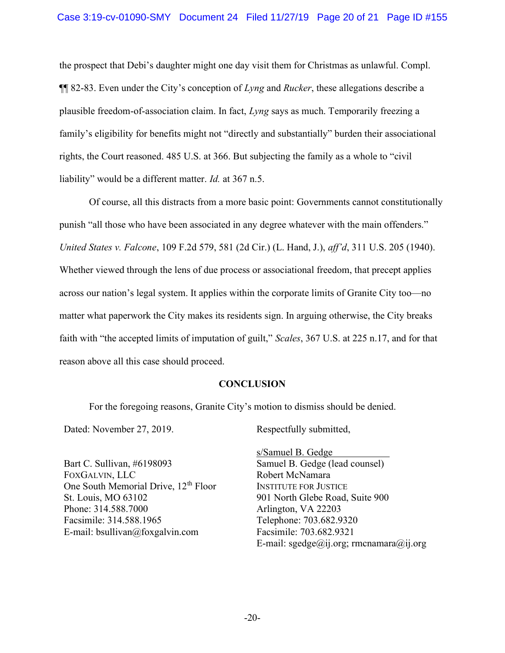the prospect that Debi's daughter might one day visit them for Christmas as unlawful. Compl.  $\P\P$  82-83. Even under the City's conception of Lyng and Rucker, these allegations describe a plausible freedom-of-association claim. In fact, Lyng says as much. Temporarily freezing a family's eligibility for benefits might not "directly and substantially" burden their associational rights, the Court reasoned. 485 U.S. at 366. But subjecting the family as a whole to "civil liability" would be a different matter. *Id.* at 367 n.5.

Of course, all this distracts from a more basic point: Governments cannot constitutionally punish "all those who have been associated in any degree whatever with the main offenders." United States v. Falcone, 109 F.2d 579, 581 (2d Cir.) (L. Hand, J.), aff'd, 311 U.S. 205 (1940). Whether viewed through the lens of due process or associational freedom, that precept applies across our nation's legal system. It applies within the corporate limits of Granite City too—no matter what paperwork the City makes its residents sign. In arguing otherwise, the City breaks faith with "the accepted limits of imputation of guilt," Scales, 367 U.S. at 225 n.17, and for that reason above all this case should proceed.

## **CONCLUSION**

For the foregoing reasons, Granite City's motion to dismiss should be denied.

Dated: November 27, 2019.

Bart C. Sullivan, #6198093 FOXGALVIN, LLC One South Memorial Drive, 12<sup>th</sup> Floor St. Louis, MO 63102 Phone: 314.588.7000 Facsimile: 314.588.1965 E-mail: bsullivan@foxgalvin.com

Respectfully submitted,

s/Samuel B. Gedge . Samuel B. Gedge (lead counsel) Robert McNamara INSTITUTE FOR JUSTICE 901 North Glebe Road, Suite 900 Arlington, VA 22203 Telephone: 703.682.9320 Facsimile: 703.682.9321 E-mail: sgedge@ij.org; rmcnamara@ij.org